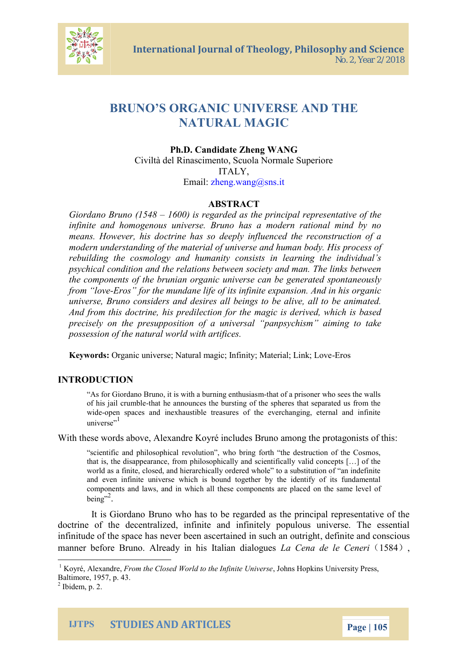# BRUNO S ORGANIECRSSHAND THE NATURAL MAGIC

Ph.D.andid Alheeng WANG Civiltà del Rinascimento, Scuola Normale Superio ITALY, Emailhe[ng.wang](mailto:wang@sns.it)@sns.it

#### ABSTRACT

Giordano Brund (1648 is reagent the detrincipal representative of infinite and homogenous universe. Bruno has a modern r means. However, his doctrine has so deeply influenced the modern understanding of the material of suprocess and huma rebuilding the cosmology and humanity consists in learn psychical condition and the relations between society and the components of the brunian organic universe can be ge from ove-Eros for the mundane life of its infinite expansion. universe, Bruno considers and desires all beings to be all And from this doctrine, his predilection for the magic is d precisely e oprebupposition of a universal panpsychism ai possession of the natural world with artifices.

Keywor**Os**ganic universe; Natural magic; Inflemity; Material; Link;

### INTRODUCTION

As for Giordano Bruno, it is winthhat bouf raing is otheur sive hso sees the wall of his jail  $t$ ham ble announces the bursting of the spheres that sepa widepen spaces and inexhaustible treasures of the everchanging,  $unive<sup>1</sup>se$ 

#### With these word**s** xaabondwi**e**, KA oyré incalmo**des, Brun**o rotagonists of t

scientific and philosophical revolution, who bring forth the desti that is, the disappearance, from philosophically and scientifically  $\bar{v}$ world aa sinite, closed, and hierarchically ordered whole to a substit and even infinite universe which is bound together by the identi components and laws, and in which all these components are place  $b$  e i  $n^2g$ 

It is Giordano Bruno who has to be regarded as the pri doctrine of the decentralized, infinite and infinitely popul infinitude of the space has never been adeeintation and dnceushia  $m$ anner before Bruno. Already in Lahi $\epsilon$  eintalian  $\ddot{a}$  beita  $\epsilon$  and  $\epsilon$  is

 $1$ Koyr $A$ lexan Elrem the Closed World to the olhin is Heplukini seldsheversity Press,  $B$  altim, of  $\theta$ e5,  $7$ p4.3.

 $2$ Ibidemp. 2.

IJTPS STUDIES AND ARTICLES Page 0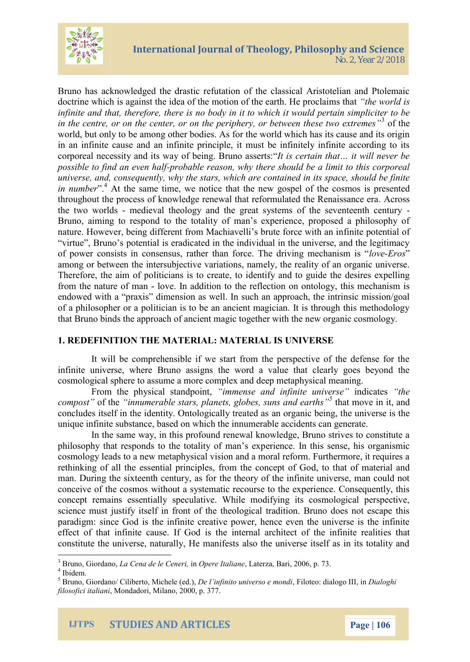

Bruno has acknowledged the drastic refutation of the classical Aristotelian and Ptolemaic doctrine which is against the idea of the motion of the earth. He proclaims that *"the world is infinite and that, therefore, there is no body in it to which it would pertain simpliciter to be in the centre, or on the center, or on the periphery, or between these two extremes"*<sup>3</sup> of the world, but only to be among other bodies. As for the world which has its cause and its origin in an infinite cause and an infinite principle, it must be infinitely infinite according to its corporeal necessity and its way of being. Bruno asserts:"*It is certain that… it will never be possible to find an even half-probable reason, why there should be a limit to this corporeal universe, and, consequently, why the stars, which are contained in its space, should be finite in number*".<sup>4</sup> At the same time, we notice that the new gospel of the cosmos is presented throughout the process of knowledge renewal that reformulated the Renaissance era. Across the two worlds - medieval theology and the great systems of the seventeenth century - Bruno, aiming to respond to the totality of man's experience, proposed a philosophy of nature. However, being different from Machiavelli's brute force with an infinite potential of "virtue", Bruno's potential is eradicated in the individual in the universe, and the legitimacy of power consists in consensus, rather than force. The driving mechanism is "*love-Eros*" among or between the intersubjective variations, namely, the reality of an organic universe. Therefore, the aim of politicians is to create, to identify and to guide the desires expelling from the nature of man - love. In addition to the reflection on ontology, this mechanism is endowed with a "praxis" dimension as well. In such an approach, the intrinsic mission/goal of a philosopher or a politician is to be an ancient magician. It is through this methodology that Bruno binds the approach of ancient magic together with the new organic cosmology.

### **1. REDEFINITION THE MATERIAL: MATERIAL IS UNIVERSE**

It will be comprehensible if we start from the perspective of the defense for the infinite universe, where Bruno assigns the word a value that clearly goes beyond the cosmological sphere to assume a more complex and deep metaphysical meaning.

From the physical standpoint, *"immense and infinite universe"* indicates *"the compost"* of the *"innumerable stars, planets, globes, suns and earths"<sup>5</sup>* that move in it, and concludes itself in the identity. Ontologically treated as an organic being, the universe is the unique infinite substance, based on which the innumerable accidents can generate.

In the same way, in this profound renewal knowledge, Bruno strives to constitute a philosophy that responds to the totality of man's experience. In this sense, his organismic cosmology leads to a new metaphysical vision and a moral reform. Furthermore, it requires a rethinking of all the essential principles, from the concept of God, to that of material and man. During the sixteenth century, as for the theory of the infinite universe, man could not conceive of the cosmos without a systematic recourse to the experience. Consequently, this concept remains essentially speculative. While modifying its cosmological perspective, science must justify itself in front of the theological tradition. Bruno does not escape this paradigm: since God is the infinite creative power, hence even the universe is the infinite effect of that infinite cause. If God is the internal architect of the infinite realities that constitute the universe, naturally, He manifests also the universe itself as in its totality and

<sup>3</sup> Bruno, Giordano, *La Cena de le Ceneri,* in *Opere Italiane*, Laterza, Bari, 2006, p. 73.

<sup>4</sup> Ibidem.

<sup>5</sup> Bruno, Giordano/ Ciliberto, Michele (ed.), *De l'infinito universo e mondi*, Filoteo: dialogo III, in *Dialoghi filosofici italiani*, Mondadori, Milano, 2000, p. 377.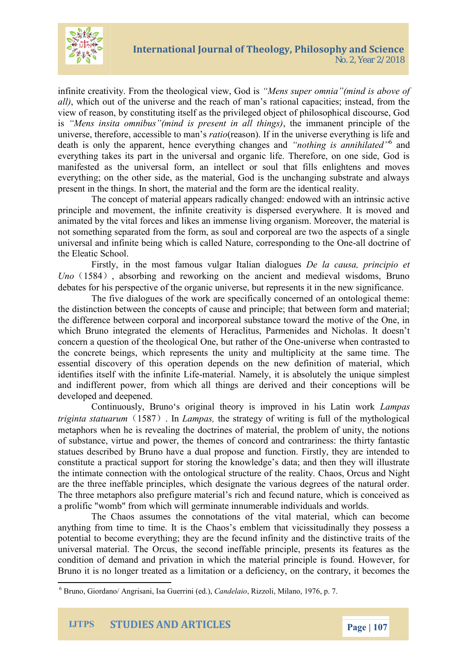

infinite creativity. From the theological view, God is *"Mens super omnia"(mind is above of all)*, which out of the universe and the reach of man's rational capacities; instead, from the view of reason, by constituting itself as the privileged object of philosophical discourse, God is *"Mens insita omnibus"(mind is present in all things)*, the immanent principle of the universe, therefore, accessible to man's *ratio*(reason). If in the universe everything is life and death is only the apparent, hence everything changes and *"nothing is annihilated"*<sup>6</sup> and everything takes its part in the universal and organic life. Therefore, on one side, God is manifested as the universal form, an intellect or soul that fills enlightens and moves everything; on the other side, as the material, God is the unchanging substrate and always present in the things. In short, the material and the form are the identical reality.

The concept of material appears radically changed: endowed with an intrinsic active principle and movement, the infinite creativity is dispersed everywhere. It is moved and animated by the vital forces and likes an immense living organism. Moreover, the material is not something separated from the form, as soul and corporeal are two the aspects of a single universal and infinite being which is called Nature, corresponding to the One-all doctrine of the Eleatic School.

Firstly, in the most famous vulgar Italian dialogues *De la causa, principio et Uno* (1584), absorbing and reworking on the ancient and medieval wisdoms, Bruno debates for his perspective of the organic universe, but represents it in the new significance.

The five dialogues of the work are specifically concerned of an ontological theme: the distinction between the concepts of cause and principle; that between form and material; the difference between corporal and incorporeal substance toward the motive of the One, in which Bruno integrated the elements of Heraclitus, Parmenides and Nicholas. It doesn't concern a question of the theological One, but rather of the One-universe when contrasted to the concrete beings, which represents the unity and multiplicity at the same time. The essential discovery of this operation depends on the new definition of material, which identifies itself with the infinite Life-material. Namely, it is absolutely the unique simplest and indifferent power, from which all things are derived and their conceptions will be developed and deepened.

Continuously, Bruno's original theory is improved in his Latin work *Lampas triginta statuarum*(1587). In *Lampas,* the strategy of writing is full of the mythological metaphors when he is revealing the doctrines of material, the problem of unity, the notions of substance, virtue and power, the themes of concord and contrariness: the thirty fantastic statues described by Bruno have a dual propose and function. Firstly, they are intended to constitute a practical support for storing the knowledge's data; and then they will illustrate the intimate connection with the ontological structure of the reality. Chaos, Orcus and Night are the three ineffable principles, which designate the various degrees of the natural order. The three metaphors also prefigure material's rich and fecund nature, which is conceived as a prolific "womb" from which will germinate innumerable individuals and worlds.

The Chaos assumes the connotations of the vital material, which can become anything from time to time. It is the Chaos's emblem that vicissitudinally they possess a potential to become everything; they are the fecund infinity and the distinctive traits of the universal material. The Orcus, the second ineffable principle, presents its features as the condition of demand and privation in which the material principle is found. However, for Bruno it is no longer treated as a limitation or a deficiency, on the contrary, it becomes the

<sup>6</sup> Bruno, Giordano/ Angrisani, Isa Guerrini (ed.), *Candelaio*, Rizzoli, Milano, 1976, p. 7.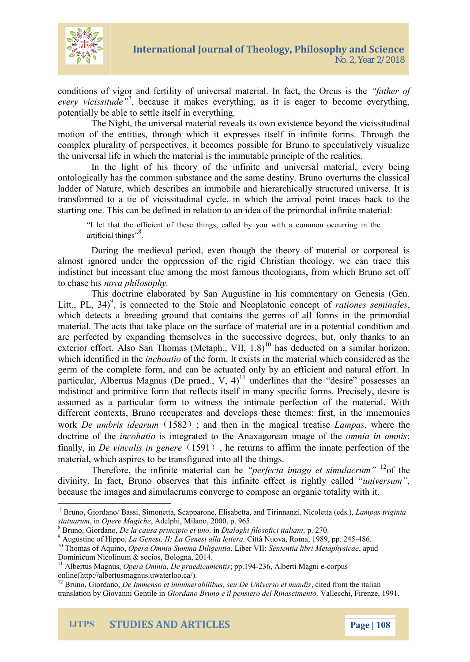conditions of vigor and fertility of universal mfaattehreialofin fa every vicissibudeuse it makes everything, as it is eager to potentiall be be ab ttle itself in everything.

The Night, the universal material reveals its own existe motion of the entities, through which it expresses itself in complex plurality of perspects viets e it obels roum esto speculatively the universal life in which the material is the immutable prin

In the light of his theory of the infinite and univers ontologically has the commens as and  $s$  destion yan  $B$  ruth o overturns the contraction over  $t$ ladder of Nature, which describes an immobile and hierarch transformed to a tie of vicissitudinal cycle, in which the a starting one. To heifs noeach in erelation tpram oincoleial oifn threite material

I let that the efficient of these things, called by you with a com artificial <sup>8</sup>things

During the medieval period, even though the sheory of almost ignored under the oppression of the rigid Christian indistinct but incessant clue among the most famous theolog to chas reo basis philosophy.

This doctrine elaborated by  $sS$  apm Amugnut sating eomin Gheinesis Litt., PL<sup>9</sup>, i3s4) connected to the Stoic and Mateicophi**as** one comporter on  $\mathbb{R}^n$ which detects a breeding ground that contains the germs of material. The acts that take oplace on the surface otential condition at  $\alpha$  in a potential condition and  $\alpha$ are perfected by expanding themselves in the successive d exterior effort. Also San Thom<sup>1</sup>as a  $\sinh t$ ,  $\sinh t$  10h 1a 8s) imilar h which identified him at the form. It exists in the material which germ of the complete form, and can be actuated only by an  $\overline{p}$  articular, Albertus Magnus<sup>1</sup> undeemlinesd.th at the desire pos indistindt paimitive form that reflects itself in many specific assumed as a particular form to witness the intimate perf different contexts, Bruno recuperates and develops sthese themes wor $D$ e umbris  $\ddot{v}$ de $\ddot{a}\&Q$ ;mand then in the m**aging as wheere is thene the trans of the maginal transmission** doctrine onficto the aits io integrated to the Anaxagoomenai**a im** pognenicsf th finally $D$  einvinculis  $\ddot{y}$ n150  $\theta$   $\dot{m}$ , eher returns to affirm the innate per material, wphies as be transfigured into all the things.

Therefore, the infinite ponentheoroiala oranna globe et  $\frac{1}{2}$  of the pack rum in The result in the infinite poperties of the canonical  $\frac{1}{2}$ divinity. In fact, Bruno observes that this immlinietresum fect i because the images and  $sgn$  utbacrompos seen an organic totality w

IJTPS STUDIES AND ARTICLES Page 0



 $^7$ BrunGiordaBhaos(sSiimoneStotaa ppa nEolnisea, b,eantoTairinnaNnizciole(tetsah)Lampas triginta statua, rum ompere Maghioche Monitian 2000,p.965.

 $8B$ run $\bigcirc$ iorda $D$ noe, la causa prin, cin $D$ iioaloetghuin  $b$ ilosofic $c$ 27i $\theta$ aliani

 $^9$ Augustine of Lahi<code>Gepo</code>esi, II: La Genesitità INLa Roloematae9 & pp. 24485.6

 $^{10}$ Thomas of ,AQ queinao Omnia SummaLDbMeingSeemtia ntia libri M,eanpaupchysicae Dominicum NicolinuBmo & og \$06t14.s,

 $11A$ lbertus M**@gnea**,O,nDneiapraedicampen-12933-46, Alberti-oMbar**gn**ise onli[ne\(http://albertusma](http://albertusmagnus.uwaterloo.ca/)gnus.uwaterloo.ca/).

 $^{12}$ Brun $\bm{\Theta}$ iorda $\bm{\Theta}$ no, Immenso eatbinhibuumserseu De Univecristo de from nantchios italian translation by GiovaGhinoiroGeennotiBeruino e il pensier\ofadleelçkEhnioems#co9i6ne.nto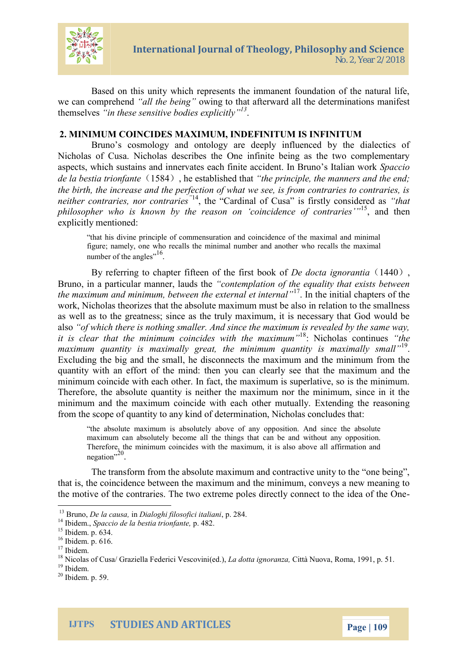

Based on this unity which represents the immanent foundation of the natural life, we can comprehend *"all the being"* owing to that afterward all the determinations manifest themselves *"in these sensitive bodies explicitly"<sup>13</sup>* .

## **2. MINIMUM COINCIDES MAXIMUM, INDEFINITUM IS INFINITUM**

Bruno's cosmology and ontology are deeply influenced by the dialectics of Nicholas of Cusa. Nicholas describes the One infinite being as the two complementary aspects, which sustains and innervates each finite accident. In Bruno's Italian work *Spaccio de la bestia trionfante*(1584), he established that *"the principle, the manners and the end; the birth, the increase and the perfection of what we see, is from contraries to contraries, is neither contraries, nor contraries*<sup>"14</sup>, the "Cardinal of Cusa" is firstly considered as "*that*" *philosopher who is known by the reason on 'coincidence of contraries'"*<sup>15</sup>, and then explicitly mentioned:

"that his divine principle of commensuration and coincidence of the maximal and minimal figure; namely, one who recalls the minimal number and another who recalls the maximal number of the angles<sup>",16</sup>.

By referring to chapter fifteen of the first book of *De docta ignorantia* (1440), Bruno, in a particular manner, lauds the *"contemplation of the equality that exists between the maximum and minimum, between the external et internal"*<sup>17</sup> . In the initial chapters of the work, Nicholas theorizes that the absolute maximum must be also in relation to the smallness as well as to the greatness; since as the truly maximum, it is necessary that God would be also *"of which there is nothing smaller. And since the maximum is revealed by the same way, it is clear that the minimum coincides with the maximum"*<sup>18</sup>: Nicholas continues *"the maximum quantity is maximally great, the minimum quantity is maximally small"*<sup>19</sup> . Excluding the big and the small, he disconnects the maximum and the minimum from the quantity with an effort of the mind: then you can clearly see that the maximum and the minimum coincide with each other. In fact, the maximum is superlative, so is the minimum. Therefore, the absolute quantity is neither the maximum nor the minimum, since in it the minimum and the maximum coincide with each other mutually. Extending the reasoning from the scope of quantity to any kind of determination, Nicholas concludes that:

"the absolute maximum is absolutely above of any opposition. And since the absolute maximum can absolutely become all the things that can be and without any opposition. Therefore, the minimum coincides with the maximum, it is also above all affirmation and negation".<sup>20</sup>.

The transform from the absolute maximum and contractive unity to the "one being", that is, the coincidence between the maximum and the minimum, conveys a new meaning to the motive of the contraries. The two extreme poles directly connect to the idea of the One-

<sup>13</sup> Bruno, *De la causa,* in *Dialoghi filosofici italiani*, p. 284.

<sup>14</sup> Ibidem., *Spaccio de la bestia trionfante,* p. 482.

<sup>15</sup> Ibidem. p. 634.

<sup>16</sup> Ibidem. p. 616.

<sup>&</sup>lt;sup>17</sup> Ibidem.

<sup>18</sup> Nicolas of Cusa/ Graziella Federici Vescovini(ed.), *La dotta ignoranza,* Città Nuova, Roma, 1991, p. 51.

<sup>&</sup>lt;sup>19</sup> Ibidem.

<sup>20</sup> Ibidem. p. 59.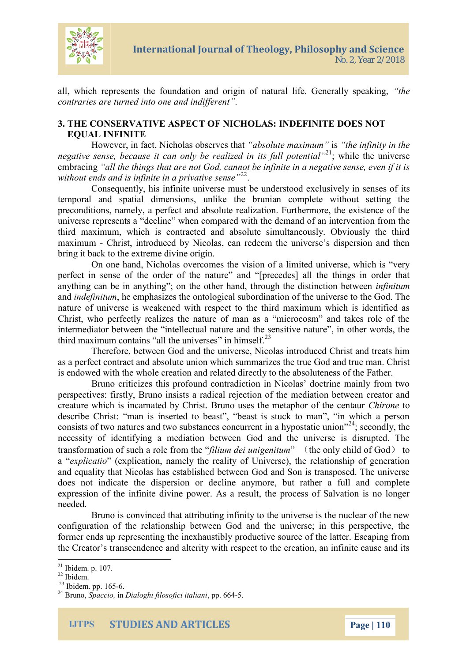

all, which represents the foundation and origin of natural life. Generally speaking, *"the contraries are turned into one and indifferent"*.

# **3. THE CONSERVATIVE ASPECT OF NICHOLAS: INDEFINITE DOES NOT EQUAL INFINITE**

However, in fact, Nicholas observes that *"absolute maximum"* is *"the infinity in the negative sense, because it can only be realized in its full potential*<sup>121</sup>; while the universe embracing *"all the things that are not God, cannot be infinite in a negative sense, even if it is* without ends and is infinite in a privative sense<sup>"22</sup>.

Consequently, his infinite universe must be understood exclusively in senses of its temporal and spatial dimensions, unlike the brunian complete without setting the preconditions, namely, a perfect and absolute realization. Furthermore, the existence of the universe represents a "decline" when compared with the demand of an intervention from the third maximum, which is contracted and absolute simultaneously. Obviously the third maximum - Christ, introduced by Nicolas, can redeem the universe's dispersion and then bring it back to the extreme divine origin.

On one hand, Nicholas overcomes the vision of a limited universe, which is "very perfect in sense of the order of the nature" and "[precedes] all the things in order that anything can be in anything"; on the other hand, through the distinction between *infinitum* and *indefinitum*, he emphasizes the ontological subordination of the universe to the God. The nature of universe is weakened with respect to the third maximum which is identified as Christ, who perfectly realizes the nature of man as a "microcosm" and takes role of the intermediator between the "intellectual nature and the sensitive nature", in other words, the third maximum contains "all the universes" in himself. $^{23}$ 

Therefore, between God and the universe, Nicolas introduced Christ and treats him as a perfect contract and absolute union which summarizes the true God and true man. Christ is endowed with the whole creation and related directly to the absoluteness of the Father.

Bruno criticizes this profound contradiction in Nicolas' doctrine mainly from two perspectives: firstly, Bruno insists a radical rejection of the mediation between creator and creature which is incarnated by Christ. Bruno uses the metaphor of the centaur *Chirone* to describe Christ: "man is inserted to beast", "beast is stuck to man", "in which a person consists of two natures and two substances concurrent in a hypostatic union<sup> $24$ </sup>; secondly, the necessity of identifying a mediation between God and the universe is disrupted. The transformation of such a role from the "*filium dei unigenitum*" (the only child of God) to a "*explicatio*" (explication, namely the reality of Universe), the relationship of generation and equality that Nicolas has established between God and Son is transposed. The universe does not indicate the dispersion or decline anymore, but rather a full and complete expression of the infinite divine power. As a result, the process of Salvation is no longer needed.

Bruno is convinced that attributing infinity to the universe is the nuclear of the new configuration of the relationship between God and the universe; in this perspective, the former ends up representing the inexhaustibly productive source of the latter. Escaping from the Creator's transcendence and alterity with respect to the creation, an infinite cause and its

<sup>21</sup> Ibidem. p. 107.

 $22$  Ibidem.

 $23$  Ibidem. pp. 165-6.

<sup>24</sup> Bruno, *Spaccio,* in *Dialoghi filosofici italiani*, pp. 664-5.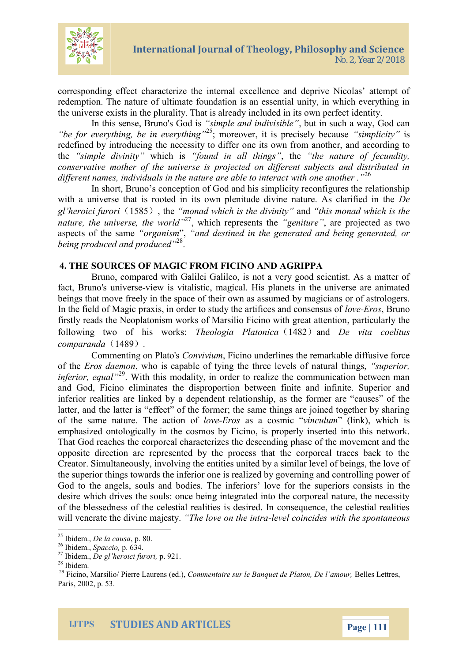

corresponding effect characterize the internal excellence and deprive Nicolas' attempt of redemption. The nature of ultimate foundation is an essential unity, in which everything in the universe exists in the plurality. That is already included in its own perfect identity.

In this sense, Bruno's God is *"simple and indivisible"*, but in such a way, God can *"be for everything, be in everything"*<sup>25</sup>; moreover, it is precisely because *"simplicity"* is redefined by introducing the necessity to differ one its own from another, and according to the *"simple divinity"* which is *"found in all things"*, the *"the nature of fecundity, conservative mother of the universe is projected on different subjects and distributed in different names, individuals in the nature are able to interact with one another ."*<sup>26</sup>

In short, Bruno's conception of God and his simplicity reconfigures the relationship with a universe that is rooted in its own plenitude divine nature. As clarified in the *De gl'heroici furori*(1585), the *"monad which is the divinity"* and *"this monad which is the nature, the universe, the world"*<sup>27</sup>, which represents the *"geniture"*, are projected as two aspects of the same *"organism*", *"and destined in the generated and being generated, or being produced and produced"*<sup>28</sup> .

### **4. THE SOURCES OF MAGIC FROM FICINO AND AGRIPPA**

Bruno, compared with Galilei Galileo, is not a very good scientist. As a matter of fact, Bruno's universe-view is vitalistic, magical. His planets in the universe are animated beings that move freely in the space of their own as assumed by magicians or of astrologers. In the field of Magic praxis, in order to study the artifices and consensus of *love-Eros*, Bruno firstly reads the Neoplatonism works of Marsilio Ficino with great attention, particularly the following two of his works: *Theologia Platonica*(1482)and *De vita coelitus comparanda*(1489)*.*

Commenting on Plato's *Convivium*, Ficino underlines the remarkable diffusive force of the *Eros daemon*, who is capable of tying the three levels of natural things, *"superior, inferior, equal*<sup>29</sup>. With this modality, in order to realize the communication between man and God, Ficino eliminates the disproportion between finite and infinite. Superior and inferior realities are linked by a dependent relationship, as the former are "causes" of the latter, and the latter is "effect" of the former; the same things are joined together by sharing of the same nature. The action of *love-Eros* as a cosmic "*vinculum*" (link), which is emphasized ontologically in the cosmos by Ficino, is properly inserted into this network. That God reaches the corporeal characterizes the descending phase of the movement and the opposite direction are represented by the process that the corporeal traces back to the Creator. Simultaneously, involving the entities united by a similar level of beings, the love of the superior things towards the inferior one is realized by governing and controlling power of God to the angels, souls and bodies. The inferiors' love for the superiors consists in the desire which drives the souls: once being integrated into the corporeal nature, the necessity of the blessedness of the celestial realities is desired. In consequence, the celestial realities will venerate the divine majesty. *"The love on the intra-level coincides with the spontaneous*

<sup>25</sup> Ibidem., *De la causa*, p. 80.

<sup>26</sup> Ibidem., *Spaccio,* p. 634.

<sup>27</sup> Ibidem., *De gl'heroici furori,* p. 921.

<sup>28</sup> Ibidem.

<sup>29</sup> Ficino, Marsilio/ Pierre Laurens (ed.), *Commentaire sur le Banquet de Platon, De l'amour,* Belles Lettres, Paris, 2002, p. 53.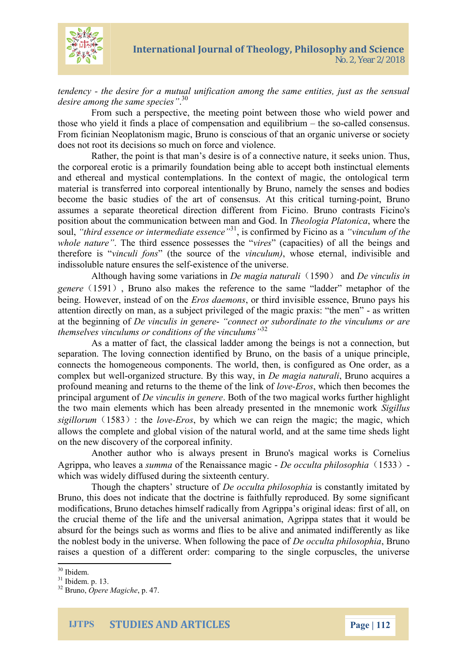

*tendency - the desire for a mutual unification among the same entities, just as the sensual desire among the same species"*. 30

From such a perspective, the meeting point between those who wield power and those who yield it finds a place of compensation and equilibrium – the so-called consensus. From ficinian Neoplatonism magic, Bruno is conscious of that an organic universe or society does not root its decisions so much on force and violence.

Rather, the point is that man's desire is of a connective nature, it seeks union. Thus, the corporeal erotic is a primarily foundation being able to accept both instinctual elements and ethereal and mystical contemplations. In the context of magic, the ontological term material is transferred into corporeal intentionally by Bruno, namely the senses and bodies become the basic studies of the art of consensus. At this critical turning-point, Bruno assumes a separate theoretical direction different from Ficino. Bruno contrasts Ficino's position about the communication between man and God. In *Theologia Platonica*, where the soul, *"third essence or intermediate essence"*<sup>31</sup>, is confirmed by Ficino as a *"vinculum of the whole nature"*. The third essence possesses the "*vires*" (capacities) of all the beings and therefore is "*vinculi fons*" (the source of the *vinculum)*, whose eternal, indivisible and indissoluble nature ensures the self-existence of the universe.

Although having some variations in *De magia naturali*(1590) and *De vinculis in genere*(1591), Bruno also makes the reference to the same "ladder" metaphor of the being. However, instead of on the *Eros daemons*, or third invisible essence, Bruno pays his attention directly on man, as a subject privileged of the magic praxis: "the men" - as written at the beginning of *De vinculis in genere*- *"connect or subordinate to the vinculums or are themselves vinculums or conditions of the vinculums"* 32

As a matter of fact, the classical ladder among the beings is not a connection, but separation. The loving connection identified by Bruno, on the basis of a unique principle, connects the homogeneous components. The world, then, is configured as One order, as a complex but well-organized structure. By this way, in *De magia naturali*, Bruno acquires a profound meaning and returns to the theme of the link of *love-Eros*, which then becomes the principal argument of *De vinculis in genere*. Both of the two magical works further highlight the two main elements which has been already presented in the mnemonic work *Sigillus*  $sigillorum(1583)$ : the *love-Eros*, by which we can reign the magic; the magic, which allows the complete and global vision of the natural world, and at the same time sheds light on the new discovery of the corporeal infinity.

Another author who is always present in Bruno's magical works is Cornelius Agrippa, who leaves a *summa* of the Renaissance magic - *De occulta philosophia*(1533) which was widely diffused during the sixteenth century.

Though the chapters' structure of *De occulta philosophia* is constantly imitated by Bruno, this does not indicate that the doctrine is faithfully reproduced. By some significant modifications, Bruno detaches himself radically from Agrippa's original ideas: first of all, on the crucial theme of the life and the universal animation, Agrippa states that it would be absurd for the beings such as worms and flies to be alive and animated indifferently as like the noblest body in the universe. When following the pace of *De occulta philosophia*, Bruno raises a question of a different order: comparing to the single corpuscles, the universe

<sup>30</sup> Ibidem.

<sup>31</sup> Ibidem. p. 13.

<sup>32</sup> Bruno, *Opere Magiche*, p. 47.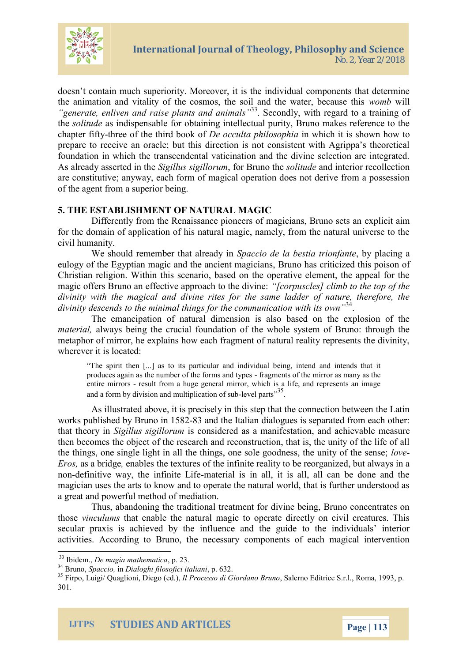

doesn't contain much superiority. Moreover, it is the individual components that determine the animation and vitality of the cosmos, the soil and the water, because this *womb* will *"generate, enliven and raise plants and animals"*<sup>33</sup>. Secondly, with regard to a training of the *solitude* as indispensable for obtaining intellectual purity, Bruno makes reference to the chapter fifty-three of the third book of *De occulta philosophia* in which it is shown how to prepare to receive an oracle; but this direction is not consistent with Agrippa's theoretical foundation in which the transcendental vaticination and the divine selection are integrated. As already asserted in the *Sigillus sigillorum*, for Bruno the *solitude* and interior recollection are constitutive; anyway, each form of magical operation does not derive from a possession of the agent from a superior being.

### **5. THE ESTABLISHMENT OF NATURAL MAGIC**

Differently from the Renaissance pioneers of magicians, Bruno sets an explicit aim for the domain of application of his natural magic, namely, from the natural universe to the civil humanity.

We should remember that already in *Spaccio de la bestia trionfante*, by placing a eulogy of the Egyptian magic and the ancient magicians, Bruno has criticized this poison of Christian religion. Within this scenario, based on the operative element, the appeal for the magic offers Bruno an effective approach to the divine: *"[corpuscles] climb to the top of the divinity with the magical and divine rites for the same ladder of nature, therefore, the divinity descends to the minimal things for the communication with its own"*<sup>34</sup> .

The emancipation of natural dimension is also based on the explosion of the *material,* always being the crucial foundation of the whole system of Bruno: through the metaphor of mirror, he explains how each fragment of natural reality represents the divinity, wherever it is located:

"The spirit then [...] as to its particular and individual being, intend and intends that it produces again as the number of the forms and types - fragments of the mirror as many as the entire mirrors - result from a huge general mirror, which is a life, and represents an image and a form by division and multiplication of sub-level parts<sup>35</sup>.

As illustrated above, it is precisely in this step that the connection between the Latin works published by Bruno in 1582-83 and the Italian dialogues is separated from each other: that theory in *Sigillus sigillorum* is considered as a manifestation, and achievable measure then becomes the object of the research and reconstruction, that is, the unity of the life of all the things, one single light in all the things, one sole goodness, the unity of the sense; *love-Eros,* as a bridge*,* enables the textures of the infinite reality to be reorganized, but always in a non-definitive way, the infinite Life-material is in all, it is all, all can be done and the magician uses the arts to know and to operate the natural world, that is further understood as a great and powerful method of mediation.

Thus, abandoning the traditional treatment for divine being, Bruno concentrates on those *vinculums* that enable the natural magic to operate directly on civil creatures. This secular praxis is achieved by the influence and the guide to the individuals' interior activities. According to Bruno, the necessary components of each magical intervention

<sup>33</sup> Ibidem., *De magia mathematica*, p. 23.

<sup>34</sup> Bruno, *Spaccio,* in *Dialoghi filosofici italiani*, p. 632.

<sup>35</sup> Firpo, Luigi/ Quaglioni, Diego (ed.), *Il Processo di Giordano Bruno*, Salerno Editrice S.r.l., Roma, 1993, p. 301.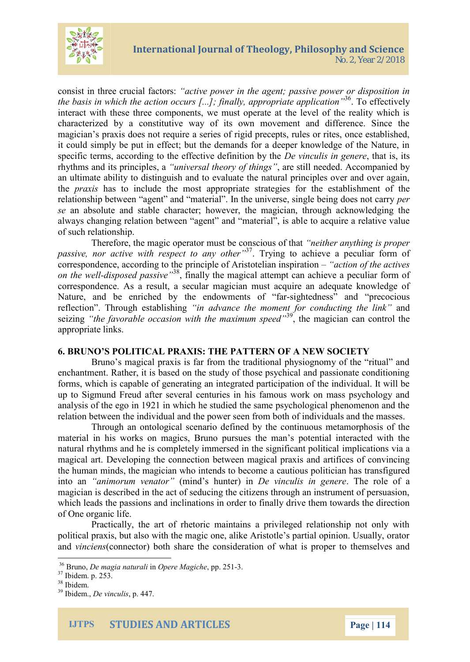

consist in three crucial factors: *"active power in the agent; passive power or disposition in* the basis in which the action occurs [...]; finally, appropriate application<sup>136</sup>. To effectively interact with these three components, we must operate at the level of the reality which is characterized by a constitutive way of its own movement and difference. Since the magician's praxis does not require a series of rigid precepts, rules or rites, once established, it could simply be put in effect; but the demands for a deeper knowledge of the Nature, in specific terms, according to the effective definition by the *De vinculis in genere*, that is, its rhythms and its principles, a *"universal theory of things"*, are still needed. Accompanied by an ultimate ability to distinguish and to evaluate the natural principles over and over again, the *praxis* has to include the most appropriate strategies for the establishment of the relationship between "agent" and "material". In the universe, single being does not carry *per se* an absolute and stable character; however, the magician, through acknowledging the always changing relation between "agent" and "material", is able to acquire a relative value of such relationship.

Therefore, the magic operator must be conscious of that *"neither anything is proper passive, nor active with respect to any other"*<sup>37</sup>. Trying to achieve a peculiar form of correspondence, according to the principle of Aristotelian inspiration – *"action of the actives on the well-disposed passive"*<sup>38</sup>, finally the magical attempt can achieve a peculiar form of correspondence. As a result, a secular magician must acquire an adequate knowledge of Nature, and be enriched by the endowments of "far-sightedness" and "precocious reflection". Through establishing *"in advance the moment for conducting the link"* and seizing *"the favorable occasion with the maximum speed"*<sup>39</sup>, the magician can control the appropriate links.

### **6. BRUNO'S POLITICAL PRAXIS: THE PATTERN OF A NEW SOCIETY**

Bruno's magical praxis is far from the traditional physiognomy of the "ritual" and enchantment. Rather, it is based on the study of those psychical and passionate conditioning forms, which is capable of generating an integrated participation of the individual. It will be up to Sigmund Freud after several centuries in his famous work on mass psychology and analysis of the ego in 1921 in which he studied the same psychological phenomenon and the relation between the individual and the power seen from both of individuals and the masses.

Through an ontological scenario defined by the continuous metamorphosis of the material in his works on magics, Bruno pursues the man's potential interacted with the natural rhythms and he is completely immersed in the significant political implications via a magical art. Developing the connection between magical praxis and artifices of convincing the human minds, the magician who intends to become a cautious politician has transfigured into an *"animorum venator"* (mind's hunter) in *De vinculis in genere*. The role of a magician is described in the act of seducing the citizens through an instrument of persuasion, which leads the passions and inclinations in order to finally drive them towards the direction of One organic life.

Practically, the art of rhetoric maintains a privileged relationship not only with political praxis, but also with the magic one, alike Aristotle's partial opinion. Usually, orator and *vinciens*(connector) both share the consideration of what is proper to themselves and

<sup>36</sup> Bruno, *De magia naturali* in *Opere Magiche*, pp. 251-3.

<sup>&</sup>lt;sup>37</sup> Ibidem. p. 253.

<sup>38</sup> Ibidem.

<sup>39</sup> Ibidem., *De vinculis*, p. 447.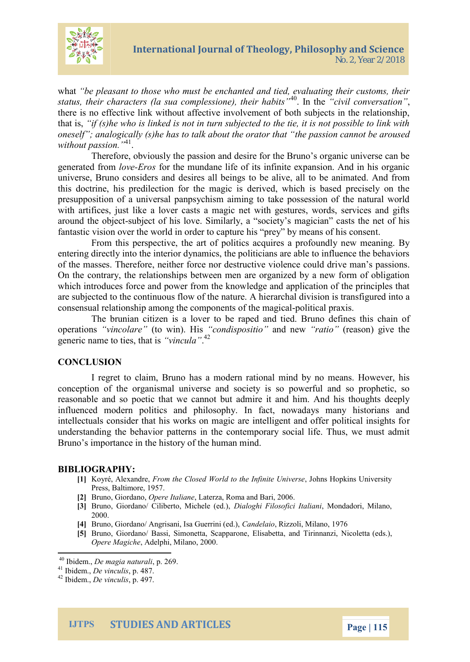

what *"be pleasant to those who must be enchanted and tied, evaluating their customs, their status, their characters (la sua complessione), their habits"*<sup>40</sup>. In the *"civil conversation"*, there is no effective link without affective involvement of both subjects in the relationship, that is, *"if (s)he who is linked is not in turn subjected to the tie, it is not possible to link with oneself"; analogically (s)he has to talk about the orator that "the passion cannot be aroused without passion."*<sup>41</sup> .

Therefore, obviously the passion and desire for the Bruno's organic universe can be generated from *love-Eros* for the mundane life of its infinite expansion. And in his organic universe, Bruno considers and desires all beings to be alive, all to be animated. And from this doctrine, his predilection for the magic is derived, which is based precisely on the presupposition of a universal panpsychism aiming to take possession of the natural world with artifices, just like a lover casts a magic net with gestures, words, services and gifts around the object-subject of his love. Similarly, a "society's magician" casts the net of his fantastic vision over the world in order to capture his "prey" by means of his consent.

From this perspective, the art of politics acquires a profoundly new meaning. By entering directly into the interior dynamics, the politicians are able to influence the behaviors of the masses. Therefore, neither force nor destructive violence could drive man's passions. On the contrary, the relationships between men are organized by a new form of obligation which introduces force and power from the knowledge and application of the principles that are subjected to the continuous flow of the nature. A hierarchal division is transfigured into a consensual relationship among the components of the magical-political praxis.

The brunian citizen is a lover to be raped and tied. Bruno defines this chain of operations *"vincolare"* (to win). His *"condispositio"* and new *"ratio"* (reason) give the generic name to ties, that is *"vincula"*. 42

### **CONCLUSION**

I regret to claim, Bruno has a modern rational mind by no means. However, his conception of the organismal universe and society is so powerful and so prophetic, so reasonable and so poetic that we cannot but admire it and him. And his thoughts deeply influenced modern politics and philosophy. In fact, nowadays many historians and intellectuals consider that his works on magic are intelligent and offer political insights for understanding the behavior patterns in the contemporary social life. Thus, we must admit Bruno's importance in the history of the human mind.

#### **BIBLIOGRAPHY:**

- **[1]** Koyré, Alexandre, *From the Closed World to the Infinite Universe*, Johns Hopkins University Press, Baltimore, 1957.
- **[2]** Bruno, Giordano, *Opere Italiane*, Laterza, Roma and Bari, 2006.
- **[3]** Bruno, Giordano/ Ciliberto, Michele (ed.), *Dialoghi Filosofici Italiani*, Mondadori, Milano, 2000.
- **[4]** Bruno, Giordano/ Angrisani, Isa Guerrini (ed.), *Candelaio*, Rizzoli, Milano, 1976
- **[5]** Bruno, Giordano/ Bassi, Simonetta, Scapparone, Elisabetta, and Tirinnanzi, Nicoletta (eds.), *Opere Magiche*, Adelphi, Milano, 2000.

<sup>40</sup> Ibidem., *De magia naturali*, p. 269.

<sup>41</sup> Ibidem., *De vinculis*, p. 487.

<sup>42</sup> Ibidem., *De vinculis*, p. 497.